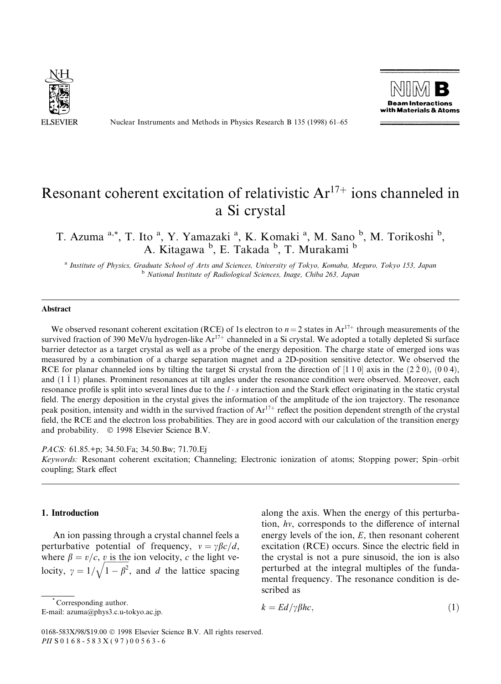

Nuclear Instruments and Methods in Physics Research B 135 (1998) 61–65



# Resonant coherent excitation of relativistic  $Ar^{17+}$  ions channeled in a Si crystal

T. Azuma <sup>a,\*</sup>, T. Ito <sup>a</sup>, Y. Yamazaki <sup>a</sup>, K. Komaki <sup>a</sup>, M. Sano <sup>b</sup>, M. Torikoshi <sup>b</sup>, A. Kitagawa <sup>b</sup>, E. Takada <sup>b</sup>, T. Murakami <sup>b</sup>

a Institute of Physics, Graduate School of Arts and Sciences, University of Tokyo, Komaba, Meguro, Tokyo 153, Japan<br>b National Institute of Radiological Sciences, Inage, Chiba 263, Japan

#### Abstract

We observed resonant coherent excitation (RCE) of 1s electron to  $n = 2$  states in Ar<sup>17+</sup> through measurements of the survived fraction of 390 MeV/u hydrogen-like  $Ar^{17+}$  channeled in a Si crystal. We adopted a totally depleted Si surface barrier detector as a target crystal as well as a probe of the energy deposition. The charge state of emerged ions was measured by a combination of a charge separation magnet and a 2D-position sensitive detector. We observed the RCE for planar channeled ions by tilting the target Si crystal from the direction of [1 1 0] axis in the  $(2\bar{2}0)$ ,  $(0\bar{0}4)$ , and  $(1\bar{1}1)$  planes. Prominent resonances at tilt angles under the resonance condition were observed. Moreover, each resonance profile is split into several lines due to the  $l \cdot s$  interaction and the Stark effect originating in the static crystal field. The energy deposition in the crystal gives the information of the amplitude of the ion trajectory. The resonance peak position, intensity and width in the survived fraction of  $Ar^{17+}$  reflect the position dependent strength of the crystal field, the RCE and the electron loss probabilities. They are in good accord with our calculation of the transition energy and probability.  $\circ$  1998 Elsevier Science B.V.

PACS: 61.85.+p; 34.50.Fa; 34.50.Bw; 71.70.Ej

Keywords: Resonant coherent excitation; Channeling; Electronic ionization of atoms; Stopping power; Spin-orbit coupling; Stark effect

## 1. Introduction

An ion passing through a crystal channel feels a perturbative potential of frequency,  $v = \gamma \beta c/d$ , where  $\beta = v/c$ , v is the ion velocity, c the light velocity,  $\gamma = 1/\sqrt{1-\beta^2}$ , and d the lattice spacing

along the axis. When the energy of this perturbation,  $hv$ , corresponds to the difference of internal energy levels of the ion,  $E$ , then resonant coherent excitation (RCE) occurs. Since the electric field in the crystal is not a pure sinusoid, the ion is also perturbed at the integral multiples of the fundamental frequency. The resonance condition is described as

Corresponding author.

E-mail: azuma@phys3.c.u-tokyo.ac.jp.

 $k = Ed/\gamma \beta hc,$  (1)

<sup>0168-583</sup>X/98/\$19.00 Ó 1998 Elsevier Science B.V. All rights reserved. PII S 0 1 6 8 - 5 8 3 X ( 9 7 ) 0 0 5 6 3 - 6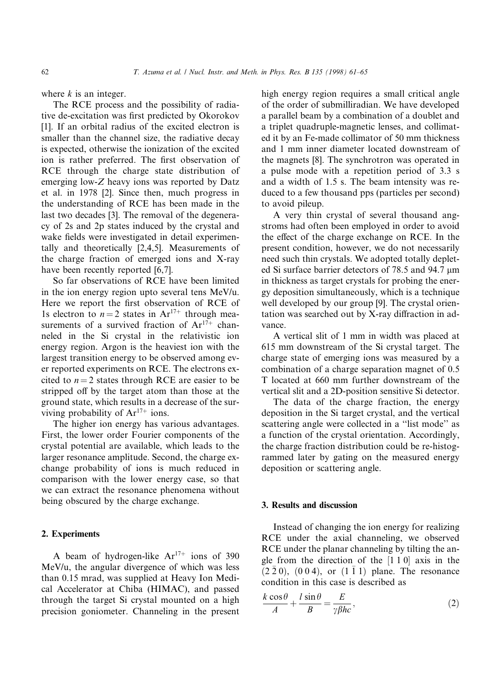where  $k$  is an integer.

The RCE process and the possibility of radiative de-excitation was first predicted by Okorokov [1]. If an orbital radius of the excited electron is smaller than the channel size, the radiative decay is expected, otherwise the ionization of the excited ion is rather preferred. The first observation of RCE through the charge state distribution of emerging low-Z heavy ions was reported by Datz et al. in 1978 [2]. Since then, much progress in the understanding of RCE has been made in the last two decades [3]. The removal of the degeneracy of 2s and 2p states induced by the crystal and wake fields were investigated in detail experimentally and theoretically [2,4,5]. Measurements of the charge fraction of emerged ions and X-ray have been recently reported [6,7].

So far observations of RCE have been limited in the ion energy region upto several tens MeV/u. Here we report the first observation of RCE of 1s electron to  $n = 2$  states in  $Ar^{17+}$  through measurements of a survived fraction of  $Ar^{17+}$  channeled in the Si crystal in the relativistic ion energy region. Argon is the heaviest ion with the largest transition energy to be observed among ever reported experiments on RCE. The electrons excited to  $n = 2$  states through RCE are easier to be stripped off by the target atom than those at the ground state, which results in a decrease of the surviving probability of  $Ar^{17+}$  ions.

The higher ion energy has various advantages. First, the lower order Fourier components of the crystal potential are available, which leads to the larger resonance amplitude. Second, the charge exchange probability of ions is much reduced in comparison with the lower energy case, so that we can extract the resonance phenomena without being obscured by the charge exchange.

## 2. Experiments

A beam of hydrogen-like  $Ar^{17+}$  ions of 390 MeV/u, the angular divergence of which was less than 0.15 mrad, was supplied at Heavy Ion Medical Accelerator at Chiba (HIMAC), and passed through the target Si crystal mounted on a high precision goniometer. Channeling in the present high energy region requires a small critical angle of the order of submilliradian. We have developed a parallel beam by a combination of a doublet and a triplet quadruple-magnetic lenses, and collimated it by an Fe-made collimator of 50 mm thickness and 1 mm inner diameter located downstream of the magnets [8]. The synchrotron was operated in a pulse mode with a repetition period of 3.3 s and a width of 1.5 s. The beam intensity was reduced to a few thousand pps (particles per second) to avoid pileup.

A very thin crystal of several thousand angstroms had often been employed in order to avoid the effect of the charge exchange on RCE. In the present condition, however, we do not necessarily need such thin crystals. We adopted totally depleted Si surface barrier detectors of  $78.5$  and  $94.7 \mu m$ in thickness as target crystals for probing the energy deposition simultaneously, which is a technique well developed by our group [9]. The crystal orientation was searched out by  $X$ -ray diffraction in advance.

A vertical slit of 1 mm in width was placed at 615 mm downstream of the Si crystal target. The charge state of emerging ions was measured by a combination of a charge separation magnet of 0.5 T located at 660 mm further downstream of the vertical slit and a 2D-position sensitive Si detector.

The data of the charge fraction, the energy deposition in the Si target crystal, and the vertical scattering angle were collected in a "list mode" as a function of the crystal orientation. Accordingly, the charge fraction distribution could be re-histogrammed later by gating on the measured energy deposition or scattering angle.

# 3. Results and discussion

Instead of changing the ion energy for realizing RCE under the axial channeling, we observed RCE under the planar channeling by tilting the angle from the direction of the  $[1 1 0]$  axis in the  $(2\bar{2}0)$ ,  $(0\bar{0}4)$ , or  $(1\bar{1}1)$  plane. The resonance condition in this case is described as

$$
\frac{k\cos\theta}{A} + \frac{l\sin\theta}{B} = \frac{E}{\gamma\beta hc},\tag{2}
$$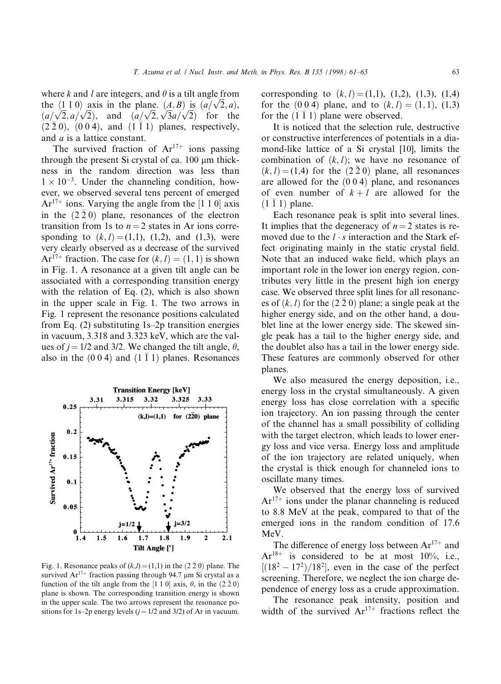where k and l are integers, and  $\theta$  is a tilt angle from the  $\langle 1\ 1\ 0 \rangle$  axis in the plane.  $(A, B)$  is  $(a/\sqrt{2}, a)$ ,  $(a/\sqrt{2}, a/\sqrt{2})$ , and  $(a/\sqrt{2}, \sqrt{3}a/\sqrt{2})$  for the  $(2\bar{2}0)$ ,  $(0\bar{0}4)$ , and  $(1\bar{1}1)$  planes, respectively, and a is a lattice constant.

The survived fraction of  $Ar^{17+}$  ions passing through the present Si crystal of ca.  $100 \mu m$  thickness in the random direction was less than  $1 \times 10^{-3}$ . Under the channeling condition, however, we observed several tens percent of emerged  $Ar<sup>17+</sup>$  ions. Varying the angle from the [1 1 0] axis in the  $(2\bar{2}0)$  plane, resonances of the electron transition from 1s to  $n = 2$  states in Ar ions corresponding to  $(k, l) = (1,1)$ ,  $(1,2)$ , and  $(1,3)$ , were very clearly observed as a decrease of the survived Ar<sup>17+</sup> fraction. The case for  $(k, l) = (1, 1)$  is shown in Fig. 1. A resonance at a given tilt angle can be associated with a corresponding transition energy with the relation of Eq. (2), which is also shown in the upper scale in Fig. 1. The two arrows in Fig. 1 represent the resonance positions calculated from Eq.  $(2)$  substituting 1s-2p transition energies in vacuum, 3.318 and 3.323 keV, which are the values of  $j = 1/2$  and 3/2. We changed the tilt angle,  $\theta$ , also in the  $(0 0 4)$  and  $(1 \overline{1} 1)$  planes. Resonances



Fig. 1. Resonance peaks of  $(k,l) = (1,1)$  in the  $(2 \bar{2} 0)$  plane. The survived  $Ar^{17+}$  fraction passing through 94.7 µm Si crystal as a function of the tilt angle from the [1 1 0] axis,  $\theta$ , in the  $(2\bar{2}0)$ plane is shown. The corresponding transition energy is shown in the upper scale. The two arrows represent the resonance positions for 1s-2p energy levels  $(j = 1/2$  and 3/2) of Ar in vacuum.

corresponding to  $(k, l) = (1,1), (1,2), (1,3), (1,4)$ for the  $(0\ 0\ 4)$  plane, and to  $(k, l) = (1, 1), (1, 3)$ for the  $(1 \bar{1} 1)$  plane were observed.

It is noticed that the selection rule, destructive or constructive interferences of potentials in a diamond-like lattice of a Si crystal [10], limits the combination of  $(k, l)$ ; we have no resonance of  $(k, l) = (1, 4)$  for the  $(2, 2, 0)$  plane, all resonances are allowed for the  $(0 0 4)$  plane, and resonances of even number of  $k+l$  are allowed for the  $(1\bar{1}1)$  plane.

Each resonance peak is split into several lines. It implies that the degeneracy of  $n = 2$  states is removed due to the  $l \cdot s$  interaction and the Stark effect originating mainly in the static crystal field. Note that an induced wake field, which plays an important role in the lower ion energy region, contributes very little in the present high ion energy case. We observed three split lines for all resonances of  $(k, l)$  for the  $(2\bar{2}\,0)$  plane; a single peak at the higher energy side, and on the other hand, a doublet line at the lower energy side. The skewed single peak has a tail to the higher energy side, and the doublet also has a tail in the lower energy side. These features are commonly observed for other planes.

We also measured the energy deposition, i.e., energy loss in the crystal simultaneously. A given energy loss has close correlation with a specific ion trajectory. An ion passing through the center of the channel has a small possibility of colliding with the target electron, which leads to lower energy loss and vice versa. Energy loss and amplitude of the ion trajectory are related uniquely, when the crystal is thick enough for channeled ions to oscillate many times.

We observed that the energy loss of survived  $Ar<sup>17+</sup>$  ions under the planar channeling is reduced to 8.8 MeV at the peak, compared to that of the emerged ions in the random condition of 17.6 MeV.

The difference of energy loss between  $Ar^{17+}$  and  $Ar^{18+}$  is considered to be at most 10%, i.e.,  $[(18<sup>2</sup> - 17<sup>2</sup>)/18<sup>2</sup>]$ , even in the case of the perfect screening. Therefore, we neglect the ion charge dependence of energy loss as a crude approximation.

The resonance peak intensity, position and width of the survived  $Ar^{17+}$  fractions reflect the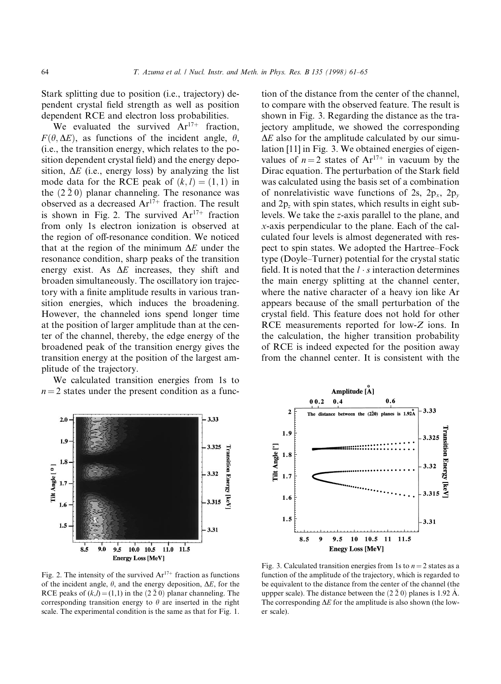Stark splitting due to position (i.e., trajectory) dependent crystal field strength as well as position dependent RCE and electron loss probabilities.

We evaluated the survived  $Ar^{17+}$  fraction,  $F(\theta, \Delta E)$ , as functions of the incident angle,  $\theta$ , (i.e., the transition energy, which relates to the position dependent crystal field) and the energy deposition,  $\Delta E$  (i.e., energy loss) by analyzing the list mode data for the RCE peak of  $(k, l) = (1, 1)$  in the  $(2 \bar{2} 0)$  planar channeling. The resonance was observed as a decreased  $Ar^{17+}$  fraction. The result is shown in Fig. 2. The survived  $Ar^{17+}$  fraction from only 1s electron ionization is observed at the region of off-resonance condition. We noticed that at the region of the minimum  $\Delta E$  under the resonance condition, sharp peaks of the transition energy exist. As  $\Delta E$  increases, they shift and broaden simultaneously. The oscillatory ion trajectory with a finite amplitude results in various transition energies, which induces the broadening. However, the channeled ions spend longer time at the position of larger amplitude than at the center of the channel, thereby, the edge energy of the broadened peak of the transition energy gives the transition energy at the position of the largest amplitude of the trajectory.

We calculated transition energies from 1s to  $n = 2$  states under the present condition as a func-

tion of the distance from the center of the channel, to compare with the observed feature. The result is shown in Fig. 3. Regarding the distance as the trajectory amplitude, we showed the corresponding  $\Delta E$  also for the amplitude calculated by our simulation [11] in Fig. 3. We obtained energies of eigenvalues of  $n = 2$  states of  $Ar^{17+}$  in vacuum by the Dirac equation. The perturbation of the Stark field was calculated using the basis set of a combination of nonrelativistic wave functions of 2s,  $2p_x$ ,  $2p_y$ and  $2p_z$  with spin states, which results in eight sublevels. We take the z-axis parallel to the plane, and x-axis perpendicular to the plane. Each of the calculated four levels is almost degenerated with respect to spin states. We adopted the Hartree–Fock type (Doyle–Turner) potential for the crystal static field. It is noted that the  $l \cdot s$  interaction determines the main energy splitting at the channel center, where the native character of a heavy ion like Ar appears because of the small perturbation of the crystal field. This feature does not hold for other RCE measurements reported for low-Z ions. In the calculation, the higher transition probability of RCE is indeed expected for the position away from the channel center. It is consistent with the



Fig. 2. The intensity of the survived  $Ar^{17+}$  fraction as functions of the incident angle,  $\theta$ , and the energy deposition,  $\Delta E$ , for the RCE peaks of  $(k,l) = (1,1)$  in the  $(2 \bar{2} 0)$  planar channeling. The corresponding transition energy to  $\theta$  are inserted in the right scale. The experimental condition is the same as that for Fig. 1.



Fig. 3. Calculated transition energies from 1s to  $n = 2$  states as a function of the amplitude of the trajectory, which is regarded to be equivalent to the distance from the center of the channel (the uppper scale). The distance between the  $(2 \bar{2} 0)$  planes is 1.92 Å. The corresponding  $\Delta E$  for the amplitude is also shown (the lower scale).